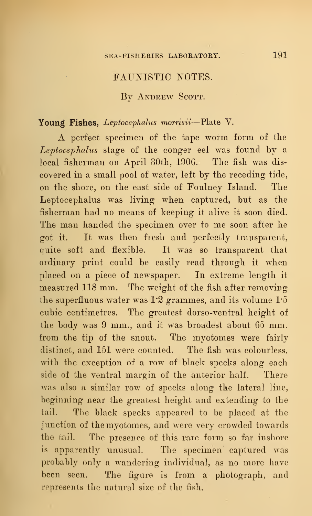#### FAUNISTIC NOTES.

#### By ANDREW SCOTT.

#### Young Fishes, Leptocephalus morrisii—Plate V.

A perfect specimen of the tape worm form of the Leptocephalus stage of the conger eel was found by a local fisherman on April 30th, 1906. The fish was dis covered in a small pool of water, left by the receding tide, on the shore, on the east side of Foulney Island. The Leptocephalus was living when captured, but as the fisherman had no means of keeping italive it soon died. The man handed the specimen over to me soon after he got it. It was then fresh and perfectly transparent, quite soft and flexible. It was so transparent that ordinary print could be easily read through it when placed on a piece of newspaper. In extreme length it measured 118 mm. The weight of the fish after removing the superfluous water was  $1:2$  grammes, and its volume  $1:5$ cubic centimetres. The greatest dorso-ventral height of the body was <sup>9</sup> mm., and it was broadest about 65 mm. from the tip of the snout. The myotomes were fairly distinct, and 151 were counted. The fish was colourless, with the exception of a row of black specks along each side of the ventral margin of the anterior half. There was also a similar row of specks along the lateral line, beginning near the greatest height and extending to the tail. The black specks appeared to be placed at the junction of the myotomes, and were very crowded towards the tail. The presence of this rare form so far inshore is apparently unusual. The specimen captured was probably only a wandering individual, as no more have been seen. The figure is from a photograph, and represents the natural size of the fish.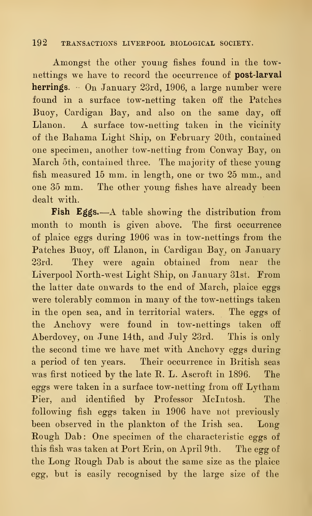#### 192 TRANSACTIONS LIVERPOOL BIOLOGICAL SOCIETY.

Amongst the other young fishes found in the townettings we have to record the occurrence of post-larval herrings.  $\sim$  On January 23rd, 1906, a large number were found in a surface tow-netting taken off the Patches Buoy, Cardigan Bay, and also on the same day, off Llanon. A surface tow-netting taken in the vicinity of the Bahama Light Ship, on February 20th, contained one specimen, another tow-netting from Conway Bay, on March 5th, contained three. The majority of these young fish measured 15 mm. in length, one or two 25 mm., and one 35 mm. The other young fishes have already been dealt with.

Fish Eggs.—A table showing the distribution from month to month is given above. The first occurrence of plaice eggs during 1906 was in tow-nettings from the Patches Buoy, off Llanon, in Cardigan Bay, on January 23rd. They were again obtained from near the Liverpool North-west Light Ship, on January 31st. From the latter date onwards to the end of March, plaice eggs were tolerably common in many of the tow-nettings taken in the open sea, and in territorial waters. The eggs of the Anchovy were found in tow-nettings taken off Aberdovey, on June 14th, and July 23rd. This is only the second time we have met with Anchovy eggs during a period of ten years. Their occurrence in British seas was first noticed by the late R. L. Ascroft in 1896. The eggs were taken in a surface tow-netting from off Lythani Pier, and identified by Professor McIntosh. The following fish eggs taken in 1906 have not previously been observed in the plankton of the Irish sea. Long Rough Dab: One specimen of the characteristic eggs of this fish was taken at Port Erin, on April 9th. The egg of the Long Rough Dab is about the same size as the plaice egg, but is easily recognised by the large size of the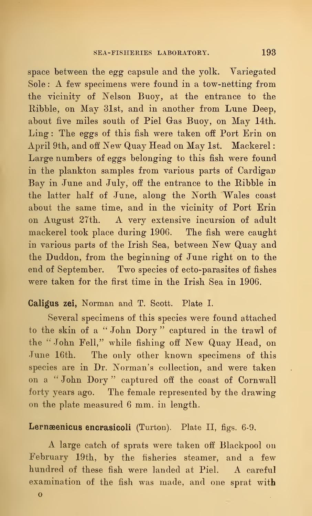space between the egg capsule and the yolk. Variegated Sole : A few specimens were found in <sup>a</sup> tow-netting from the vicinity of Nelson Buoy, at the entrance to the Ribble, on May 31st, and in another from Lune Deep, about five miles south of Piel Gas Buoy, on May 14th. Ling : 'The eggs of this fish were taken off Port Erin on April 9th, and off New Quay Head on May 1st. Mackerel Large numbers of eggs belonging to this fish were found in the plankton samples from various parts of Cardigan Bay in June and July, off the entrance to the Bibble in the latter half of June, along the North Wales coast about the same time, and in the vicinity of Port Erin on August 27th. A very extensive incursion of adult mackerel took place during 1906. The fish were caught in various parts of the Irish Sea, between New Quay and the Duddon, from the beginning of June right on to the end of September. Two species of ecto-parasites of fishes were taken for the first time in the Irish Sea in 1906.

#### Caligus zei, Norman and T. Scott. Plate I.

Several specimens of this species were found attached to the skin of a " John Dory " captured in the trawl of the " John Fell," while fishing off New Quay Head, on June 16th. The only other known specimens of this species are in Dr. Norman's collection, and were taken on a " John Dory " captured off the coast of Cornwall forty years ago. The female represented by the drawing on the plate measured <sup>6</sup> mm. in length.

## Lernæenicus encrasicoli (Turton). Plate II, figs. 6-9,

A large catch of sprats were taken off Blackpool on February 19th, by the fisheries steamer, and a few hundred of these fish were landed at Piel. A careful examination of the fish was made, and one sprat with

o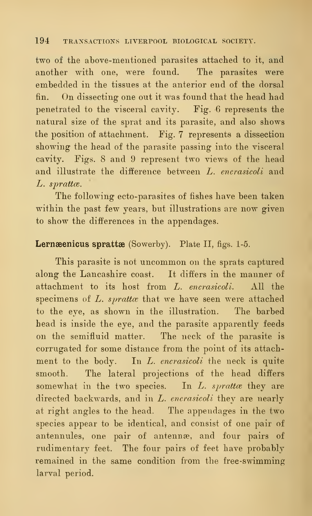two of the above-mentioned parasites attached to it, and another with one, were found. The parasites were embedded in the tissues at the anterior end of the dorsal fin. On dissecting one out it was found that the head had penetrated to the visceral cavity. Fig. 6 represents the natural size of the sprat and its parasite, and also shows the position of attachment. Fig. 7 represents a dissection showing the head of the parasite passing into the visceral cavity. Figs. 8 and 9 represent two views of the head and illustrate the difference between L. encrasicoli and  $L.$  sprattae.

The following ecto-parasites of fishes have been taken within the past few years, but illustrations are now given to show the differences in the appendages.

## Lernæenicus sprattæ (Sowerby). Plate II, figs. 1-5.

This parasite is not uncommon on the sprats captured along the Lancashire coast. It differs in the manner of attachment to its host from L. encrasicoli. All the specimens of  $L.$  sprattax that we have seen were attached to the eye, as shown in the illustration. The barbed head is inside the eye, and the parasite apparently feeds on the semifluid matter. The neck of the parasite is corrugated for some distance from the point of its attachment to the body. In L. encrasicoli the neck is quite smooth. The lateral projections of the head differs somewhat in the two species. In  $L$ . sprattae they are directed backwards, and in *L. encrasicoli* they are nearly at right angles to the head. The appendages in the two species appear to be identical, and consist of one pair of antennules, one pair of antennæ, and four pairs of rudimentary feet. The four pairs of feet have probably remained in the same condition from the free-swimming larval period.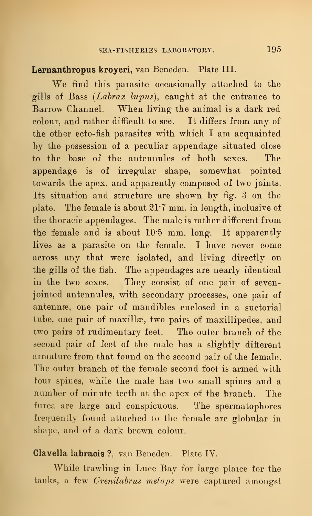#### Lernanthropus kroyeri, van Beneden. Plate III.

We find this parasite occasionally attached to the gills of Bass (Labrax lupus), caught at the entrance to Barrow Channel. When living the animal is a dark red colour, and rather difficult to see. It differs from any of the other ecto-fish parasites with which <sup>I</sup> am acquainted by the possession of a peculiar appendage situated close to the base of the antennules of both sexes. The appendage is of irregular shape, somewhat pointed towards the apex, and apparently composed of two joints. Its situation and structure are shown by fig. 3 on the plate. The female is about  $21.7$  mm. in length, inclusive of the thoracic appendages. The male is rather different from the female and is about 10\*5 mm. long. It apparently lives as a parasite on the female. I have never come across any that were isolated, and living directly on the gills of the fish. The appendages are nearly identical in the two sexes. They consist of one pair of sevenjointed antennules, with secondary processes, one pair of antenna?, one pair of mandibles enclosed in a suctorial tube, one pair of maxillæ, two pairs of maxillipedes, and two pairs of rudimentary feet. The outer branch of the second pair of feet of the male has a slightly different armature from that found on the second pair of the female. The outer branch of the female second foot is armed with four spines, while the male has two small spines and a number of minute teeth at the apex of the branch, The furca are large and conspicuous. The spermatophores frequently found attached to the female are globular in shape, and of a dark brown colour.

#### Clayella labracis ?, van Beneden. Plate IV.

While trawling in Luce Bay for large plaise for the tanks, a few *Crenilabrus melops* were captured amongst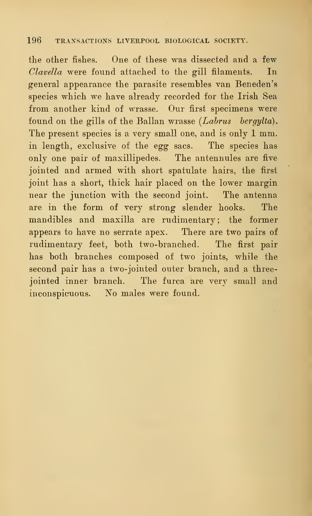#### 196 TRANSACTIONS LIVERPOOL BIOLOGICAL SOCIETY.

the other fishes. One of these was dissected and a few Clavella were found attached to the gill filaments. In general appearance the parasite resembles van Beneden's species which we have already recorded for the Irish Sea from another kind of wrasse. Onr first specimens were found on the gills of the Ballan wrasse  $(Labrus-bergylta)$ . The present species is a very small one, and is only <sup>1</sup> mm. in length, exclusive of the egg sacs. The species has only one pair of maxillipedes. The antennules are five jointed and armed with short spatulate hairs, the first joint has a short, thick hair placed on the lower margin near the junction with the second joint. The antenna are in the form of very strong slender hooks. The mandibles and maxilla are rudimentary; the former appears to have no serrate apex. There are two pairs of rudimentary feet, both two-branched. The first pair has both branches composed of two joints, while the second pair has a two-jointed outer branch, and a threejointed inner branch. The furca are very small and inconspicuous. No males were found.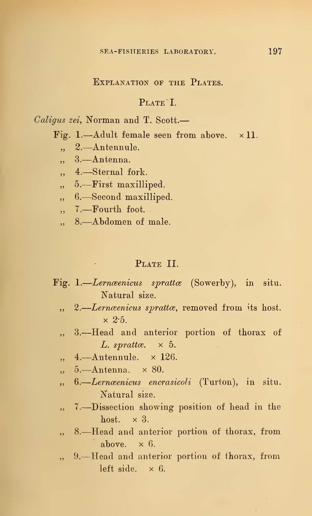#### Explanation of the Plates.

#### PLATE<sup>T</sup>.

#### Caligus zei, Norman and T. Scott.-

Fig. 1.—Adult female seen from above.  $\times 11$ .

- 2. —Antennule. ,,
- 3. —Antenna. .,
- 4.—Sternal fork. ..
- 5. —First maxilliped. .,
- 6. —Second maxilliped.  $,$
- 7.—Fourth foot.
- 8.—Abdomen of male.  $,$ ,

#### PLATE II.

- Fig. 1.—*Lernœenicus sprattœ* (Sowerby), in situ. Natural size.
	- ,,  $2. L$ ern $\alpha$ enicus spratt $\alpha$ , removed from its host.  $\times$  2.5.
	- 3.—Head and anterior portion of thorax of  $L.$  sprattae.  $\times$  5.
	- $, 4$ —Antennule.  $\times$  126.
	- $, 5$ —Antenna.  $\times 80$ .
	- ,, 6.—*Lernæenicus encrasicoli* (Turton), in situ. Natural size.
	- ,, 7.—Dissection showing position of head in the host.  $\times$  3.
	- ,, 8. —Head and anterior portion of thorax, from above.  $\times$  6.
	- 9. Head and anterior portion of thorax, from left side.  $\times$  6.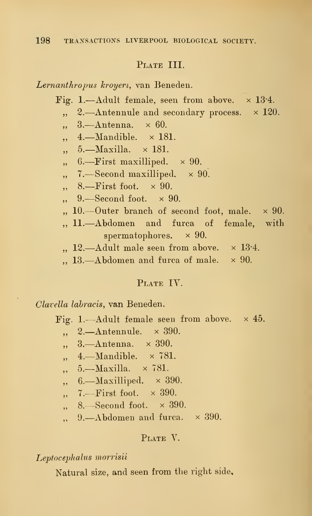## PLATE III.

Lernanthropus kroyeri, van Beneden.

- Fig. 1.—Adult female, seen from above.  $\times$  13.4.
	- $2$ —Antennule and secondary process.  $\times$  120.  $\ddot{\phantom{0}}$
	- 3.—Antenna.  $\times$  60.  $,$
	- 4.—Mandible.  $\times$  181. ,,
	- $5.$ —Maxilla,  $\times$  181. ,,
	- 6.—First maxilliped.  $\times$  90.  $,$
	- 7. Second maxilliped.  $\times$  90.  $,$ ,
	- 8.—First foot.  $\times 90$ . ,,
	- 9.—Second foot.  $\times$  90. .,
	- $10.$  Outer branch of second foot, male,  $\times$  90.
	- 11.—Abdomen and furca of female, witl spermatophores.  $\times$  90.
	- $12. -$ Adult male seen from above.  $\times$  13.4.
	- ,, 13.—Abdomen and furca of male.  $\times$  90.

#### PLATE IV.

Clavella labracis, van Beneden.

- Fig. 1.—Adult female seen from above.  $\times$  45.
	- 2.—Antennule.  $\times$  390. .,
	- $3. -$ Antenna.  $\times$  390. .,
	- $4.$ —Mandible.  $\times 781.$ ,,
	- $5.$ —Maxilla.  $\times 781.$ ,,
	- 6.—Maxilliped.  $\times$  390. ,,
	- 7.—First foot.  $\times$  390.  $,$
	- 8.—Second foot.  $\times$  390. ,,
	- 9.—Abdomen and furca.  $\times$  390. ,,

#### PLATE V.

## Leptocephalus morrisii

Natural size, and seen from the right side.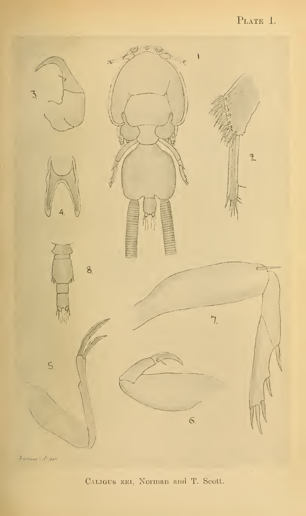# PLATE 1.



CALIGUS ZEI, Norman and T. Scott.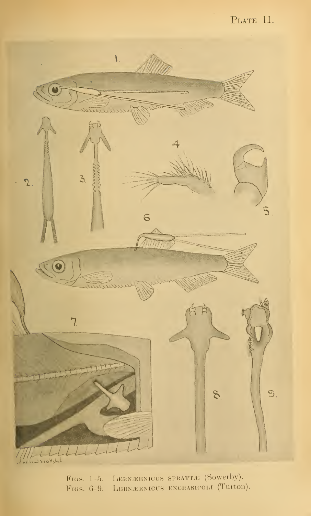PLATE II.



FIGS. 1-5. LERNÆENICUS SPRATTÆ (Sowerby). FIGS. 6-9. LERNÆENICUS ENCRASICOLI (Turton).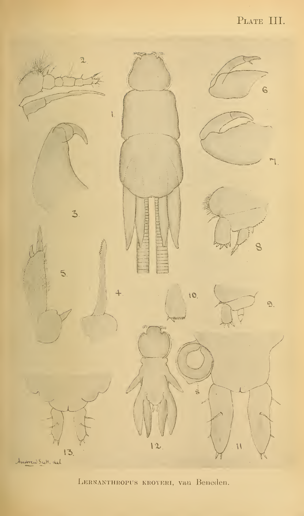# PLATE III.



LERNANTHROPUS KROYERI, Van Beneden.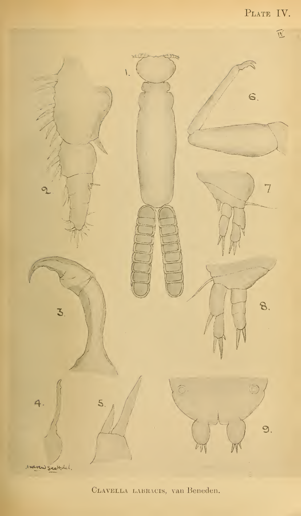# PLATE IV.

 $\widetilde{\mathbb{M}}$ 



CLAVELLA LABRACIS, van Beneden.